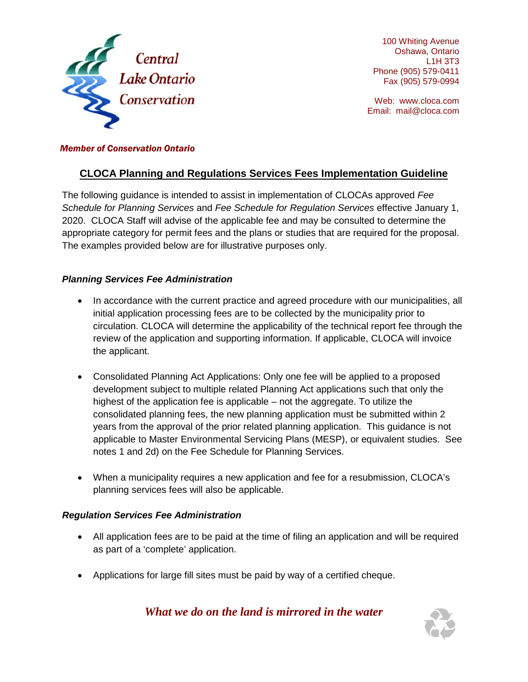

100 Whiting Avenue Oshawa, Ontario L1H 3T3 Phone (905) 579-0411 Fax (905) 579-0994

Web: [www.cloca.com](http://www.cloca.com/) Email: mail@cloca.com

# *Member of Conservation Ontario*

# **CLOCA Planning and Regulations Services Fees Implementation Guideline**

The following guidance is intended to assist in implementation of CLOCAs approved *Fee Schedule for Planning Services* and *Fee Schedule for Regulation Services* effective January 1, 2020. CLOCA Staff will advise of the applicable fee and may be consulted to determine the appropriate category for permit fees and the plans or studies that are required for the proposal. The examples provided below are for illustrative purposes only.

# *Planning Services Fee Administration*

- In accordance with the current practice and agreed procedure with our municipalities, all initial application processing fees are to be collected by the municipality prior to circulation. CLOCA will determine the applicability of the technical report fee through the review of the application and supporting information. If applicable, CLOCA will invoice the applicant.
- Consolidated Planning Act Applications: Only one fee will be applied to a proposed development subject to multiple related Planning Act applications such that only the highest of the application fee is applicable – not the aggregate. To utilize the consolidated planning fees, the new planning application must be submitted within 2 years from the approval of the prior related planning application. This guidance is not applicable to Master Environmental Servicing Plans (MESP), or equivalent studies. See notes 1 and 2d) on the Fee Schedule for Planning Services.
- When a municipality requires a new application and fee for a resubmission, CLOCA's planning services fees will also be applicable.

### *Regulation Services Fee Administration*

- All application fees are to be paid at the time of filing an application and will be required as part of a 'complete' application.
- Applications for large fill sites must be paid by way of a certified cheque.

# *What we do on the land is mirrored in the water*

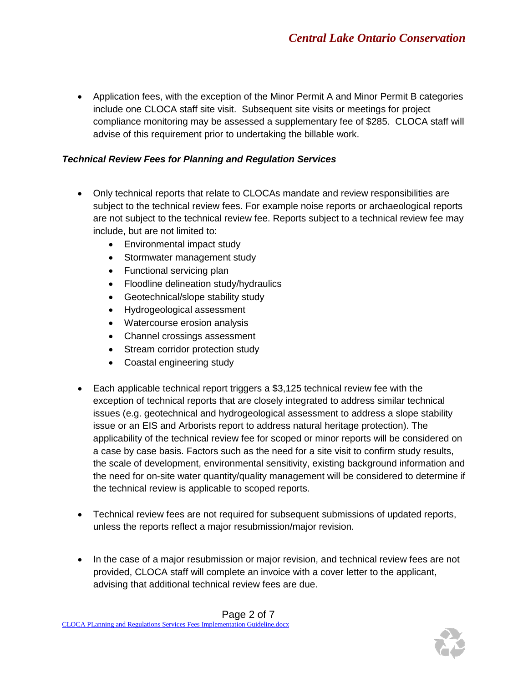• Application fees, with the exception of the Minor Permit A and Minor Permit B categories include one CLOCA staff site visit. Subsequent site visits or meetings for project compliance monitoring may be assessed a supplementary fee of \$285. CLOCA staff will advise of this requirement prior to undertaking the billable work.

# *Technical Review Fees for Planning and Regulation Services*

- Only technical reports that relate to CLOCAs mandate and review responsibilities are subject to the technical review fees. For example noise reports or archaeological reports are not subject to the technical review fee. Reports subject to a technical review fee may include, but are not limited to:
	- Environmental impact study
	- Stormwater management study
	- Functional servicing plan
	- Floodline delineation study/hydraulics
	- Geotechnical/slope stability study
	- Hydrogeological assessment
	- Watercourse erosion analysis
	- Channel crossings assessment
	- Stream corridor protection study
	- Coastal engineering study
- Each applicable technical report triggers a \$3,125 technical review fee with the exception of technical reports that are closely integrated to address similar technical issues (e.g. geotechnical and hydrogeological assessment to address a slope stability issue or an EIS and Arborists report to address natural heritage protection). The applicability of the technical review fee for scoped or minor reports will be considered on a case by case basis. Factors such as the need for a site visit to confirm study results, the scale of development, environmental sensitivity, existing background information and the need for on-site water quantity/quality management will be considered to determine if the technical review is applicable to scoped reports.
- Technical review fees are not required for subsequent submissions of updated reports, unless the reports reflect a major resubmission/major revision.
- In the case of a major resubmission or major revision, and technical review fees are not provided, CLOCA staff will complete an invoice with a cover letter to the applicant, advising that additional technical review fees are due.

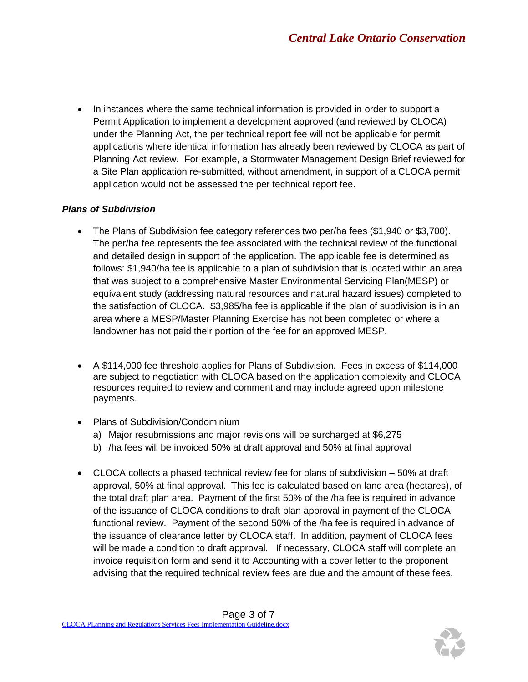• In instances where the same technical information is provided in order to support a Permit Application to implement a development approved (and reviewed by CLOCA) under the Planning Act, the per technical report fee will not be applicable for permit applications where identical information has already been reviewed by CLOCA as part of Planning Act review. For example, a Stormwater Management Design Brief reviewed for a Site Plan application re-submitted, without amendment, in support of a CLOCA permit application would not be assessed the per technical report fee.

# *Plans of Subdivision*

- The Plans of Subdivision fee category references two per/ha fees (\$1,940 or \$3,700). The per/ha fee represents the fee associated with the technical review of the functional and detailed design in support of the application. The applicable fee is determined as follows: \$1,940/ha fee is applicable to a plan of subdivision that is located within an area that was subject to a comprehensive Master Environmental Servicing Plan(MESP) or equivalent study (addressing natural resources and natural hazard issues) completed to the satisfaction of CLOCA. \$3,985/ha fee is applicable if the plan of subdivision is in an area where a MESP/Master Planning Exercise has not been completed or where a landowner has not paid their portion of the fee for an approved MESP.
- A \$114,000 fee threshold applies for Plans of Subdivision. Fees in excess of \$114,000 are subject to negotiation with CLOCA based on the application complexity and CLOCA resources required to review and comment and may include agreed upon milestone payments.
- Plans of Subdivision/Condominium
	- a) Major resubmissions and major revisions will be surcharged at \$6,275
	- b) /ha fees will be invoiced 50% at draft approval and 50% at final approval
- CLOCA collects a phased technical review fee for plans of subdivision 50% at draft approval, 50% at final approval. This fee is calculated based on land area (hectares), of the total draft plan area. Payment of the first 50% of the /ha fee is required in advance of the issuance of CLOCA conditions to draft plan approval in payment of the CLOCA functional review. Payment of the second 50% of the /ha fee is required in advance of the issuance of clearance letter by CLOCA staff. In addition, payment of CLOCA fees will be made a condition to draft approval. If necessary, CLOCA staff will complete an invoice requisition form and send it to Accounting with a cover letter to the proponent advising that the required technical review fees are due and the amount of these fees.

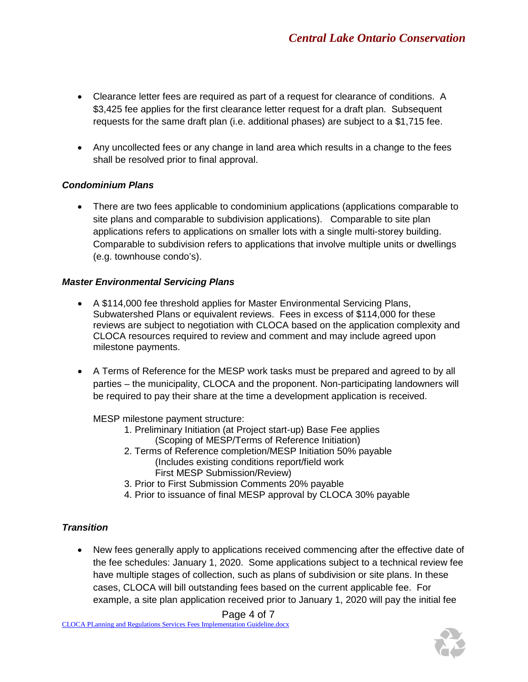- Clearance letter fees are required as part of a request for clearance of conditions. A \$3,425 fee applies for the first clearance letter request for a draft plan. Subsequent requests for the same draft plan (i.e. additional phases) are subject to a \$1,715 fee.
- Any uncollected fees or any change in land area which results in a change to the fees shall be resolved prior to final approval.

# *Condominium Plans*

• There are two fees applicable to condominium applications (applications comparable to site plans and comparable to subdivision applications). Comparable to site plan applications refers to applications on smaller lots with a single multi-storey building. Comparable to subdivision refers to applications that involve multiple units or dwellings (e.g. townhouse condo's).

### *Master Environmental Servicing Plans*

- A \$114,000 fee threshold applies for Master Environmental Servicing Plans, Subwatershed Plans or equivalent reviews. Fees in excess of \$114,000 for these reviews are subject to negotiation with CLOCA based on the application complexity and CLOCA resources required to review and comment and may include agreed upon milestone payments.
- A Terms of Reference for the MESP work tasks must be prepared and agreed to by all parties – the municipality, CLOCA and the proponent. Non-participating landowners will be required to pay their share at the time a development application is received.

MESP milestone payment structure:

- 1. Preliminary Initiation (at Project start-up) Base Fee applies (Scoping of MESP/Terms of Reference Initiation)
- 2. Terms of Reference completion/MESP Initiation 50% payable (Includes existing conditions report/field work First MESP Submission/Review)
- 3. Prior to First Submission Comments 20% payable
- 4. Prior to issuance of final MESP approval by CLOCA 30% payable

# *Transition*

• New fees generally apply to applications received commencing after the effective date of the fee schedules: January 1, 2020. Some applications subject to a technical review fee have multiple stages of collection, such as plans of subdivision or site plans. In these cases, CLOCA will bill outstanding fees based on the current applicable fee. For example, a site plan application received prior to January 1, 2020 will pay the initial fee

Page 4 of 7

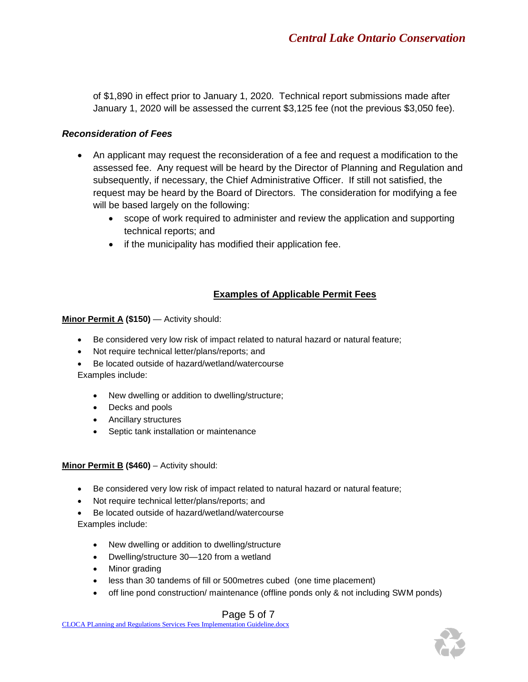of \$1,890 in effect prior to January 1, 2020. Technical report submissions made after January 1, 2020 will be assessed the current \$3,125 fee (not the previous \$3,050 fee).

# *Reconsideration of Fees*

- An applicant may request the reconsideration of a fee and request a modification to the assessed fee. Any request will be heard by the Director of Planning and Regulation and subsequently, if necessary, the Chief Administrative Officer. If still not satisfied, the request may be heard by the Board of Directors. The consideration for modifying a fee will be based largely on the following:
	- scope of work required to administer and review the application and supporting technical reports; and
	- if the municipality has modified their application fee.

# **Examples of Applicable Permit Fees**

### **Minor Permit A (\$150)** — Activity should:

- Be considered very low risk of impact related to natural hazard or natural feature;
- Not require technical letter/plans/reports; and
- Be located outside of hazard/wetland/watercourse Examples include:
	- New dwelling or addition to dwelling/structure;
	- Decks and pools
	- Ancillary structures
	- Septic tank installation or maintenance

### **Minor Permit B (\$460)** – Activity should:

- Be considered very low risk of impact related to natural hazard or natural feature;
- Not require technical letter/plans/reports; and
- Be located outside of hazard/wetland/watercourse Examples include:
	- New dwelling or addition to dwelling/structure
	- Dwelling/structure 30—120 from a wetland
	- Minor grading
	- less than 30 tandems of fill or 500metres cubed (one time placement)
	- off line pond construction/ maintenance (offline ponds only & not including SWM ponds)

# Page 5 of 7

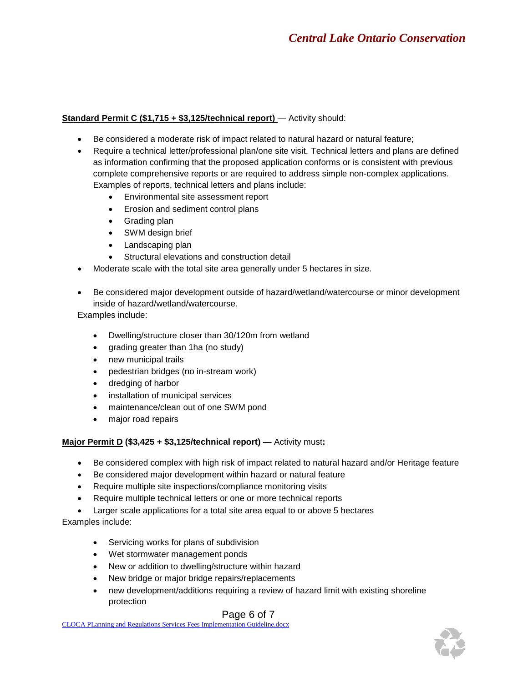### **Standard Permit C (\$1,715 + \$3,125/technical report)** — Activity should:

- Be considered a moderate risk of impact related to natural hazard or natural feature;
- Require a technical letter/professional plan/one site visit. Technical letters and plans are defined as information confirming that the proposed application conforms or is consistent with previous complete comprehensive reports or are required to address simple non-complex applications. Examples of reports, technical letters and plans include:
	- Environmental site assessment report
	- Erosion and sediment control plans
	- Grading plan
	- SWM design brief
	- Landscaping plan
	- Structural elevations and construction detail
- Moderate scale with the total site area generally under 5 hectares in size.
- Be considered major development outside of hazard/wetland/watercourse or minor development inside of hazard/wetland/watercourse.

Examples include:

- Dwelling/structure closer than 30/120m from wetland
- grading greater than 1ha (no study)
- new municipal trails
- pedestrian bridges (no in-stream work)
- dredging of harbor
- installation of municipal services
- maintenance/clean out of one SWM pond
- major road repairs

#### **Major Permit D (\$3,425 + \$3,125/technical report) —** Activity must**:**

- Be considered complex with high risk of impact related to natural hazard and/or Heritage feature
- Be considered major development within hazard or natural feature
- Require multiple site inspections/compliance monitoring visits
- Require multiple technical letters or one or more technical reports
- Larger scale applications for a total site area equal to or above 5 hectares

#### Examples include:

- Servicing works for plans of subdivision
- Wet stormwater management ponds
- New or addition to dwelling/structure within hazard
- New bridge or major bridge repairs/replacements
- new development/additions requiring a review of hazard limit with existing shoreline protection

### Page 6 of 7

CLOCA PLanning and Regulations Services Fees Implementation Guideline.docx